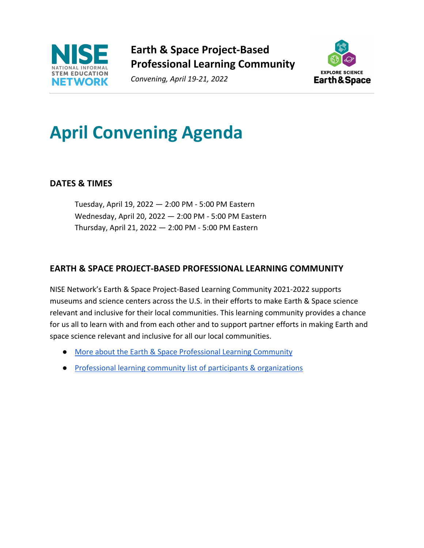

**Earth & Space Project-Based Professional Learning Community**

*Convening, April 19-21, 2022*



### **April Convening Agenda**

#### **DATES & TIMES**

Tuesday, April 19, 2022 — 2:00 PM - 5:00 PM Eastern Wednesday, April 20, 2022 — 2:00 PM - 5:00 PM Eastern Thursday, April 21, 2022 — 2:00 PM - 5:00 PM Eastern

#### **EARTH & SPACE PROJECT-BASED PROFESSIONAL LEARNING COMMUNITY**

NISE Network's Earth & Space Project-Based Learning Community 2021-2022 supports museums and science centers across the U.S. in their efforts to make Earth & Space science relevant and inclusive for their local communities. This learning community provides a chance for us all to learn with and from each other and to support partner efforts in making Earth and space science relevant and inclusive for all our local communities.

- More about the Earth & Space Professional Learning Community
- Professional learning community list of participants & organizations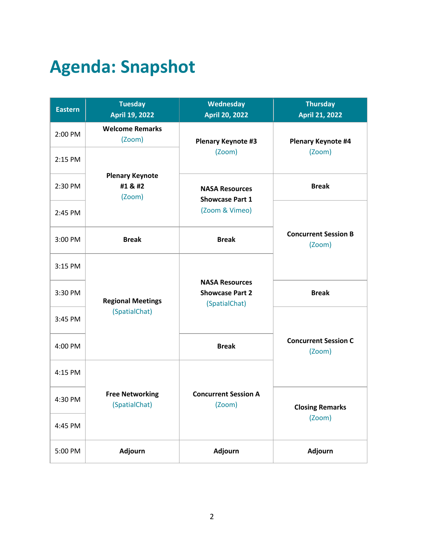## **Agenda: Snapshot**

| <b>Eastern</b> | <b>Tuesday</b><br><b>April 19, 2022</b>     | Wednesday<br><b>April 20, 2022</b>                               | <b>Thursday</b><br><b>April 21, 2022</b> |
|----------------|---------------------------------------------|------------------------------------------------------------------|------------------------------------------|
| 2:00 PM        | <b>Welcome Remarks</b><br>(Zoom)            | <b>Plenary Keynote #3</b>                                        | <b>Plenary Keynote #4</b><br>(Zoom)      |
| 2:15 PM        | <b>Plenary Keynote</b><br>#1 & #2<br>(Zoom) | (Zoom)                                                           |                                          |
| 2:30 PM        |                                             | <b>NASA Resources</b><br><b>Showcase Part 1</b>                  | <b>Break</b>                             |
| 2:45 PM        |                                             | (Zoom & Vimeo)                                                   |                                          |
| 3:00 PM        | <b>Break</b>                                | <b>Break</b>                                                     | <b>Concurrent Session B</b><br>(Zoom)    |
| 3:15 PM        | <b>Regional Meetings</b><br>(SpatialChat)   | <b>NASA Resources</b><br><b>Showcase Part 2</b><br>(SpatialChat) |                                          |
| 3:30 PM        |                                             |                                                                  | <b>Break</b>                             |
| 3:45 PM        |                                             |                                                                  |                                          |
| 4:00 PM        |                                             | <b>Break</b>                                                     | <b>Concurrent Session C</b><br>(Zoom)    |
| 4:15 PM        | <b>Free Networking</b><br>(Spatial Chat)    | <b>Concurrent Session A</b><br>(Zoom)                            |                                          |
| 4:30 PM        |                                             |                                                                  | <b>Closing Remarks</b><br>(Zoom)         |
| 4:45 PM        |                                             |                                                                  |                                          |
| 5:00 PM        | Adjourn                                     | <b>Adjourn</b>                                                   | <b>Adjourn</b>                           |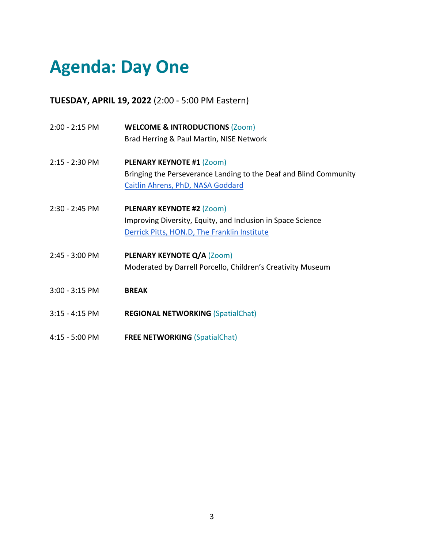## **Agenda: Day One**

**TUESDAY, APRIL 19, 2022** (2:00 - 5:00 PM Eastern)

| 2:00 - 2:15 PM   | <b>WELCOME &amp; INTRODUCTIONS (Zoom)</b>                         |
|------------------|-------------------------------------------------------------------|
|                  | Brad Herring & Paul Martin, NISE Network                          |
| 2:15 - 2:30 PM   | <b>PLENARY KEYNOTE #1 (Zoom)</b>                                  |
|                  | Bringing the Perseverance Landing to the Deaf and Blind Community |
|                  | Caitlin Ahrens, PhD, NASA Goddard                                 |
| 2:30 - 2:45 PM   | <b>PLENARY KEYNOTE #2 (Zoom)</b>                                  |
|                  | Improving Diversity, Equity, and Inclusion in Space Science       |
|                  | Derrick Pitts, HON.D, The Franklin Institute                      |
| 2:45 - 3:00 PM   | <b>PLENARY KEYNOTE Q/A (Zoom)</b>                                 |
|                  | Moderated by Darrell Porcello, Children's Creativity Museum       |
| $3:00 - 3:15$ PM | <b>BREAK</b>                                                      |
| $3:15 - 4:15$ PM | <b>REGIONAL NETWORKING (SpatialChat)</b>                          |
| 4:15 - 5:00 PM   | <b>FREE NETWORKING (SpatialChat)</b>                              |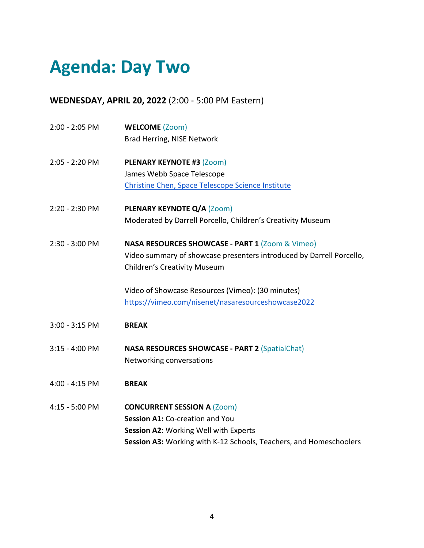## **Agenda: Day Two**

**WEDNESDAY, APRIL 20, 2022** (2:00 - 5:00 PM Eastern)

| 2:00 - 2:05 PM | <b>WELCOME (Zoom)</b>                                                |
|----------------|----------------------------------------------------------------------|
|                | Brad Herring, NISE Network                                           |
| 2:05 - 2:20 PM | <b>PLENARY KEYNOTE #3 (Zoom)</b>                                     |
|                | James Webb Space Telescope                                           |
|                | Christine Chen, Space Telescope Science Institute                    |
| 2:20 - 2:30 PM | PLENARY KEYNOTE Q/A (Zoom)                                           |
|                | Moderated by Darrell Porcello, Children's Creativity Museum          |
| 2:30 - 3:00 PM | <b>NASA RESOURCES SHOWCASE - PART 1 (Zoom &amp; Vimeo)</b>           |
|                | Video summary of showcase presenters introduced by Darrell Porcello, |
|                | <b>Children's Creativity Museum</b>                                  |
|                | Video of Showcase Resources (Vimeo): (30 minutes)                    |
|                | https://vimeo.com/nisenet/nasaresourceshowcase2022                   |
| 3:00 - 3:15 PM | <b>BREAK</b>                                                         |
| 3:15 - 4:00 PM | <b>NASA RESOURCES SHOWCASE - PART 2 (SpatialChat)</b>                |
|                | Networking conversations                                             |
| 4:00 - 4:15 PM | <b>BREAK</b>                                                         |
| 4:15 - 5:00 PM | <b>CONCURRENT SESSION A (Zoom)</b>                                   |
|                | Session A1: Co-creation and You                                      |
|                | <b>Session A2: Working Well with Experts</b>                         |
|                | Session A3: Working with K-12 Schools, Teachers, and Homeschoolers   |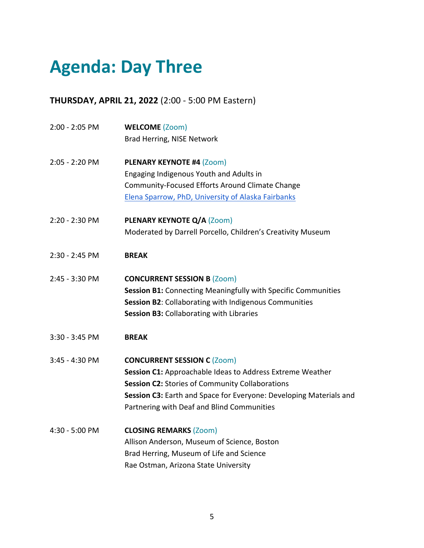## **Agenda: Day Three**

**THURSDAY, APRIL 21, 2022** (2:00 - 5:00 PM Eastern)

| 2:00 - 2:05 PM | <b>WELCOME (Zoom)</b>                                              |
|----------------|--------------------------------------------------------------------|
|                | Brad Herring, NISE Network                                         |
| 2:05 - 2:20 PM | PLENARY KEYNOTE #4 (Zoom)                                          |
|                | Engaging Indigenous Youth and Adults in                            |
|                | Community-Focused Efforts Around Climate Change                    |
|                | Elena Sparrow, PhD, University of Alaska Fairbanks                 |
| 2:20 - 2:30 PM | PLENARY KEYNOTE Q/A (Zoom)                                         |
|                | Moderated by Darrell Porcello, Children's Creativity Museum        |
| 2:30 - 2:45 PM | <b>BREAK</b>                                                       |
| 2:45 - 3:30 PM | <b>CONCURRENT SESSION B (Zoom)</b>                                 |
|                | Session B1: Connecting Meaningfully with Specific Communities      |
|                | Session B2: Collaborating with Indigenous Communities              |
|                | Session B3: Collaborating with Libraries                           |
| 3:30 - 3:45 PM | <b>BREAK</b>                                                       |
| 3:45 - 4:30 PM | <b>CONCURRENT SESSION C (Zoom)</b>                                 |
|                | Session C1: Approachable Ideas to Address Extreme Weather          |
|                | Session C2: Stories of Community Collaborations                    |
|                | Session C3: Earth and Space for Everyone: Developing Materials and |
|                | Partnering with Deaf and Blind Communities                         |
| 4:30 - 5:00 PM | <b>CLOSING REMARKS (Zoom)</b>                                      |
|                | Allison Anderson, Museum of Science, Boston                        |
|                | Brad Herring, Museum of Life and Science                           |
|                | Rae Ostman, Arizona State University                               |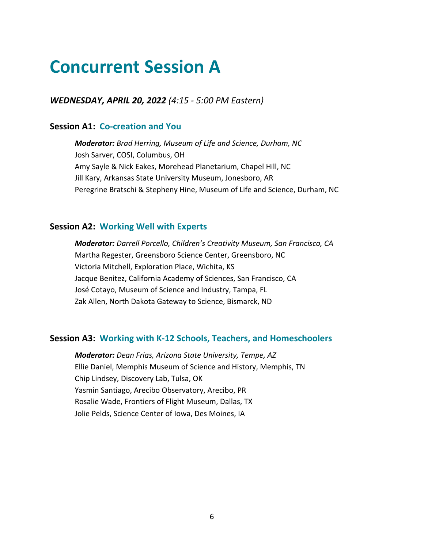### **Concurrent Session A**

*WEDNESDAY, APRIL 20, 2022 (4:15 - 5:00 PM Eastern)*

#### **Session A1: Co-creation and You**

*Moderator: Brad Herring, Museum of Life and Science, Durham, NC* Josh Sarver, COSI, Columbus, OH Amy Sayle & Nick Eakes, Morehead Planetarium, Chapel Hill, NC Jill Kary, Arkansas State University Museum, Jonesboro, AR Peregrine Bratschi & Stepheny Hine, Museum of Life and Science, Durham, NC

#### **Session A2: Working Well with Experts**

*Moderator: Darrell Porcello, Children's Creativity Museum, San Francisco, CA* Martha Regester, Greensboro Science Center, Greensboro, NC Victoria Mitchell, Exploration Place, Wichita, KS Jacque Benitez, California Academy of Sciences, San Francisco, CA José Cotayo, Museum of Science and Industry, Tampa, FL Zak Allen, North Dakota Gateway to Science, Bismarck, ND

#### **Session A3: Working with K-12 Schools, Teachers, and Homeschoolers**

*Moderator: Dean Frias, Arizona State University, Tempe, AZ* Ellie Daniel, Memphis Museum of Science and History, Memphis, TN Chip Lindsey, Discovery Lab, Tulsa, OK Yasmin Santiago, Arecibo Observatory, Arecibo, PR Rosalie Wade, Frontiers of Flight Museum, Dallas, TX Jolie Pelds, Science Center of Iowa, Des Moines, IA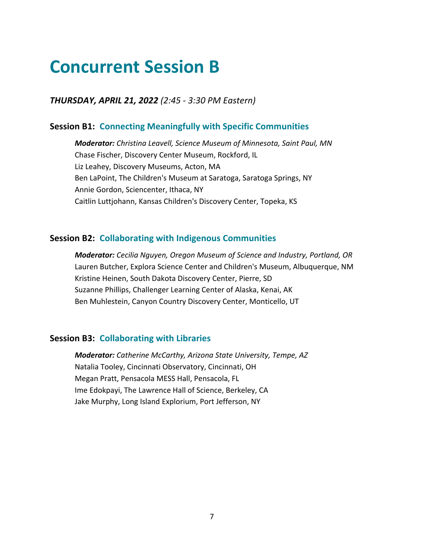### **Concurrent Session B**

*THURSDAY, APRIL 21, 2022 (2:45 - 3:30 PM Eastern)*

#### **Session B1: Connecting Meaningfully with Specific Communities**

*Moderator: Christina Leavell, Science Museum of Minnesota, Saint Paul, MN* Chase Fischer, Discovery Center Museum, Rockford, IL Liz Leahey, Discovery Museums, Acton, MA Ben LaPoint, The Children's Museum at Saratoga, Saratoga Springs, NY Annie Gordon, Sciencenter, Ithaca, NY Caitlin Luttjohann, Kansas Children's Discovery Center, Topeka, KS

#### **Session B2: Collaborating with Indigenous Communities**

*Moderator: Cecilia Nguyen, Oregon Museum of Science and Industry, Portland, OR* Lauren Butcher, Explora Science Center and Children's Museum, Albuquerque, NM Kristine Heinen, South Dakota Discovery Center, Pierre, SD Suzanne Phillips, Challenger Learning Center of Alaska, Kenai, AK Ben Muhlestein, Canyon Country Discovery Center, Monticello, UT

#### **Session B3: Collaborating with Libraries**

*Moderator: Catherine McCarthy, Arizona State University, Tempe, AZ* Natalia Tooley, Cincinnati Observatory, Cincinnati, OH Megan Pratt, Pensacola MESS Hall, Pensacola, FL Ime Edokpayi, The Lawrence Hall of Science, Berkeley, CA Jake Murphy, Long Island Explorium, Port Jefferson, NY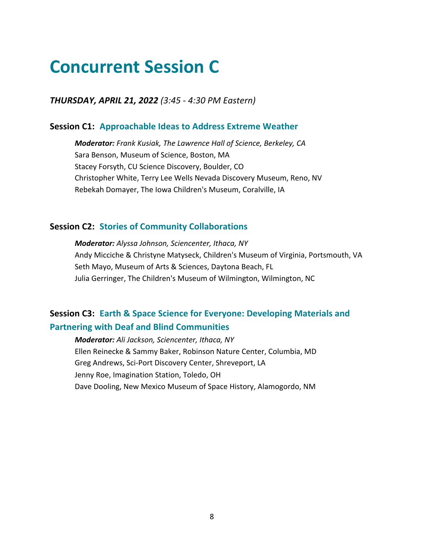### **Concurrent Session C**

*THURSDAY, APRIL 21, 2022 (3:45 - 4:30 PM Eastern)*

#### **Session C1: Approachable Ideas to Address Extreme Weather**

*Moderator: Frank Kusiak, The Lawrence Hall of Science, Berkeley, CA* Sara Benson, Museum of Science, Boston, MA Stacey Forsyth, CU Science Discovery, Boulder, CO Christopher White, Terry Lee Wells Nevada Discovery Museum, Reno, NV Rebekah Domayer, The Iowa Children's Museum, Coralville, IA

#### **Session C2: Stories of Community Collaborations**

*Moderator: Alyssa Johnson, Sciencenter, Ithaca, NY* Andy Micciche & Christyne Matyseck, Children's Museum of Virginia, Portsmouth, VA Seth Mayo, Museum of Arts & Sciences, Daytona Beach, FL Julia Gerringer, The Children's Museum of Wilmington, Wilmington, NC

#### **Session C3: Earth & Space Science for Everyone: Developing Materials and Partnering with Deaf and Blind Communities**

*Moderator: Ali Jackson, Sciencenter, Ithaca, NY* Ellen Reinecke & Sammy Baker, Robinson Nature Center, Columbia, MD Greg Andrews, Sci-Port Discovery Center, Shreveport, LA Jenny Roe, Imagination Station, Toledo, OH Dave Dooling, New Mexico Museum of Space History, Alamogordo, NM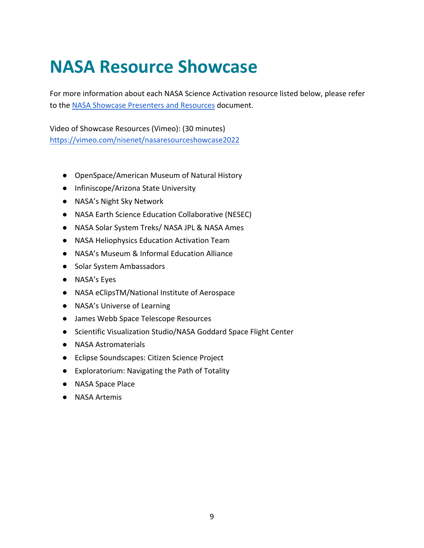### **NASA Resource Showcase**

For more information about each NASA Science Activation resource listed below, please refer to the NASA Showcase Presenters and Resources document.

Video of Showcase Resources (Vimeo): (30 minutes) https://vimeo.com/nisenet/nasaresourceshowcase2022

- OpenSpace/American Museum of Natural History
- Infiniscope/Arizona State University
- NASA's Night Sky Network
- NASA Earth Science Education Collaborative (NESEC)
- NASA Solar System Treks/ NASA JPL & NASA Ames
- NASA Heliophysics Education Activation Team
- NASA's Museum & Informal Education Alliance
- Solar System Ambassadors
- NASA's Eyes
- NASA eClipsTM/National Institute of Aerospace
- NASA's Universe of Learning
- James Webb Space Telescope Resources
- Scientific Visualization Studio/NASA Goddard Space Flight Center
- NASA Astromaterials
- Eclipse Soundscapes: Citizen Science Project
- Exploratorium: Navigating the Path of Totality
- NASA Space Place
- NASA Artemis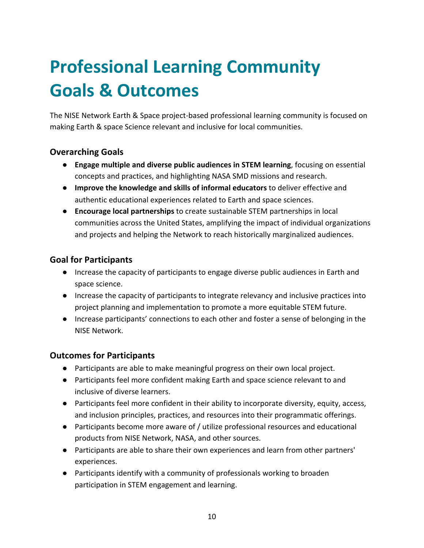# **Professional Learning Community Goals & Outcomes**

The NISE Network Earth & Space project-based professional learning community is focused on making Earth & space Science relevant and inclusive for local communities.

#### **Overarching Goals**

- **Engage multiple and diverse public audiences in STEM learning**, focusing on essential concepts and practices, and highlighting NASA SMD missions and research.
- **Improve the knowledge and skills of informal educators** to deliver effective and authentic educational experiences related to Earth and space sciences.
- **Encourage local partnerships** to create sustainable STEM partnerships in local communities across the United States, amplifying the impact of individual organizations and projects and helping the Network to reach historically marginalized audiences.

#### **Goal for Participants**

- Increase the capacity of participants to engage diverse public audiences in Earth and space science.
- Increase the capacity of participants to integrate relevancy and inclusive practices into project planning and implementation to promote a more equitable STEM future.
- Increase participants' connections to each other and foster a sense of belonging in the NISE Network.

#### **Outcomes for Participants**

- Participants are able to make meaningful progress on their own local project.
- Participants feel more confident making Earth and space science relevant to and inclusive of diverse learners.
- Participants feel more confident in their ability to incorporate diversity, equity, access, and inclusion principles, practices, and resources into their programmatic offerings.
- Participants become more aware of / utilize professional resources and educational products from NISE Network, NASA, and other sources.
- Participants are able to share their own experiences and learn from other partners' experiences.
- Participants identify with a community of professionals working to broaden participation in STEM engagement and learning.